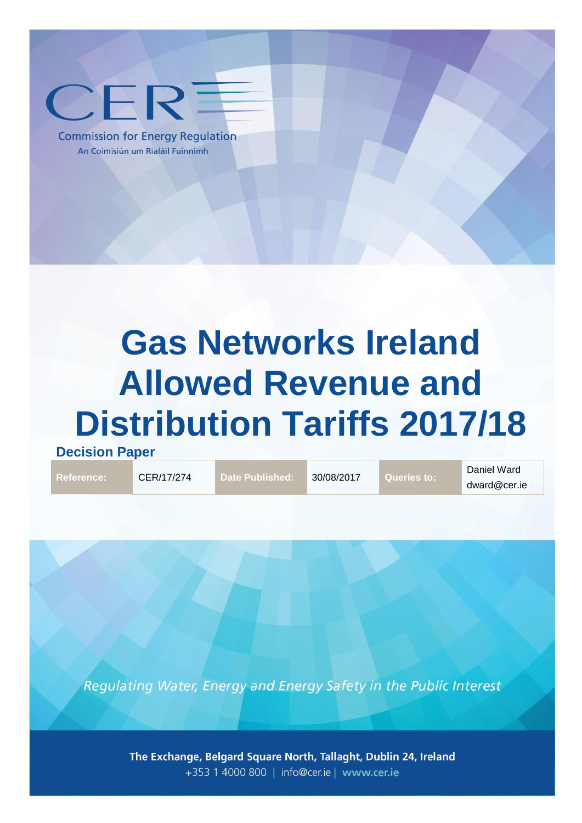

**Commission for Energy Regulation** An Coimisiún um Rialáil Fuinnimh

# **Gas Networks Ireland Allowed Revenue and Distribution Tariffs 2017/18**

**Decision Paper**

**Reference:** CER/17/274 **Date Published:** 30/08/2017 **Queries to:**

Daniel Ward dward@cer.ie

Regulating Water, Energy and Energy Safety in the Public Interest

The Exchange, Belgard Square North, Tallaght, Dublin 24, Ireland +353 1 4000 800 | info@cer.ie | www.cer.ie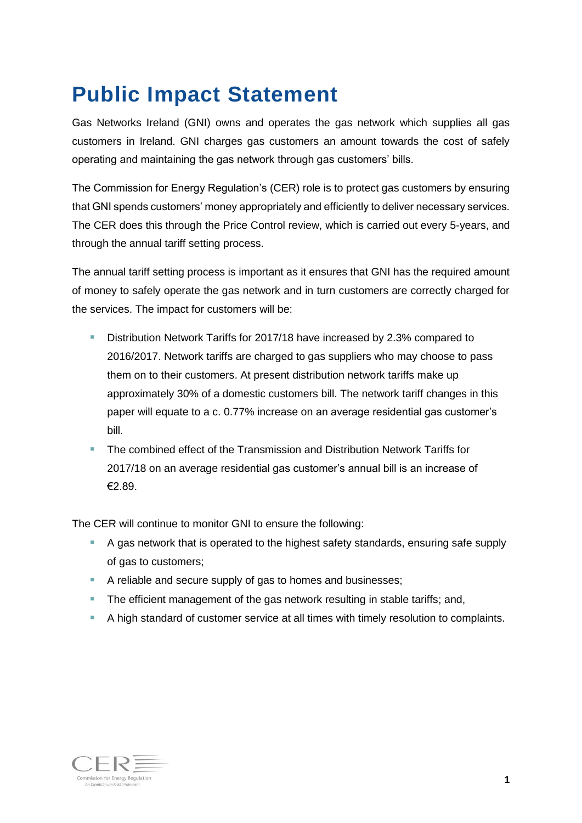### <span id="page-1-0"></span>**Public Impact Statement**

Gas Networks Ireland (GNI) owns and operates the gas network which supplies all gas customers in Ireland. GNI charges gas customers an amount towards the cost of safely operating and maintaining the gas network through gas customers' bills.

The Commission for Energy Regulation's (CER) role is to protect gas customers by ensuring that GNI spends customers' money appropriately and efficiently to deliver necessary services. The CER does this through the Price Control review, which is carried out every 5-years, and through the annual tariff setting process.

The annual tariff setting process is important as it ensures that GNI has the required amount of money to safely operate the gas network and in turn customers are correctly charged for the services. The impact for customers will be:

- Distribution Network Tariffs for 2017/18 have increased by 2.3% compared to 2016/2017. Network tariffs are charged to gas suppliers who may choose to pass them on to their customers. At present distribution network tariffs make up approximately 30% of a domestic customers bill. The network tariff changes in this paper will equate to a c. 0.77% increase on an average residential gas customer's bill.
- **The combined effect of the Transmission and Distribution Network Tariffs for** 2017/18 on an average residential gas customer's annual bill is an increase of €2.89.

The CER will continue to monitor GNI to ensure the following:

- A gas network that is operated to the highest safety standards, ensuring safe supply of gas to customers;
- A reliable and secure supply of gas to homes and businesses;
- The efficient management of the gas network resulting in stable tariffs; and,
- A high standard of customer service at all times with timely resolution to complaints.

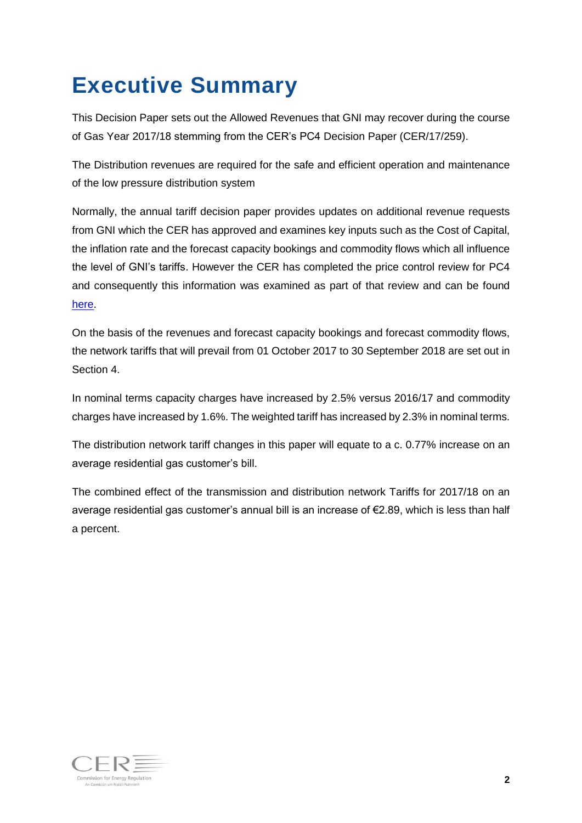# **Executive Summary**

This Decision Paper sets out the Allowed Revenues that GNI may recover during the course of Gas Year 2017/18 stemming from the CER's PC4 Decision Paper (CER/17/259).

The Distribution revenues are required for the safe and efficient operation and maintenance of the low pressure distribution system

Normally, the annual tariff decision paper provides updates on additional revenue requests from GNI which the CER has approved and examines key inputs such as the Cost of Capital, the inflation rate and the forecast capacity bookings and commodity flows which all influence the level of GNI's tariffs. However the CER has completed the price control review for PC4 and consequently this information was examined as part of that review and can be found [here.](http://www.cer.ie/document-detail/Gas-Networks-Ireland-Price-Control-4/1102)

On the basis of the revenues and forecast capacity bookings and forecast commodity flows, the network tariffs that will prevail from 01 October 2017 to 30 September 2018 are set out in Section [4.](#page-8-0)

In nominal terms capacity charges have increased by 2.5% versus 2016/17 and commodity charges have increased by 1.6%. The weighted tariff has increased by 2.3% in nominal terms.

The distribution network tariff changes in this paper will equate to a c. 0.77% increase on an average residential gas customer's bill.

The combined effect of the transmission and distribution network Tariffs for 2017/18 on an average residential gas customer's annual bill is an increase of €2.89, which is less than half a percent.

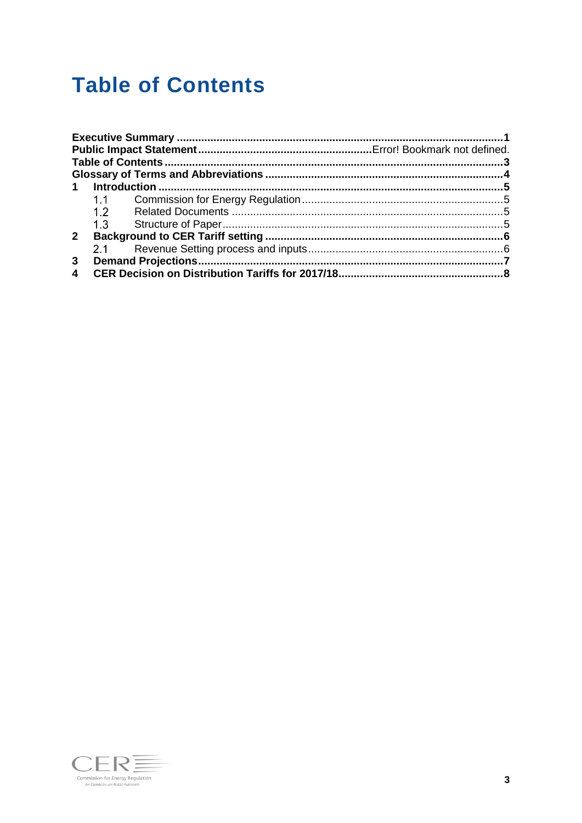### <span id="page-3-0"></span>**Table of Contents**

| $\mathbf 1$    |     |  |
|----------------|-----|--|
|                |     |  |
|                | 1.2 |  |
|                |     |  |
| $2^{\circ}$    |     |  |
|                | 2.1 |  |
| 3 <sup>1</sup> |     |  |
| 4              |     |  |

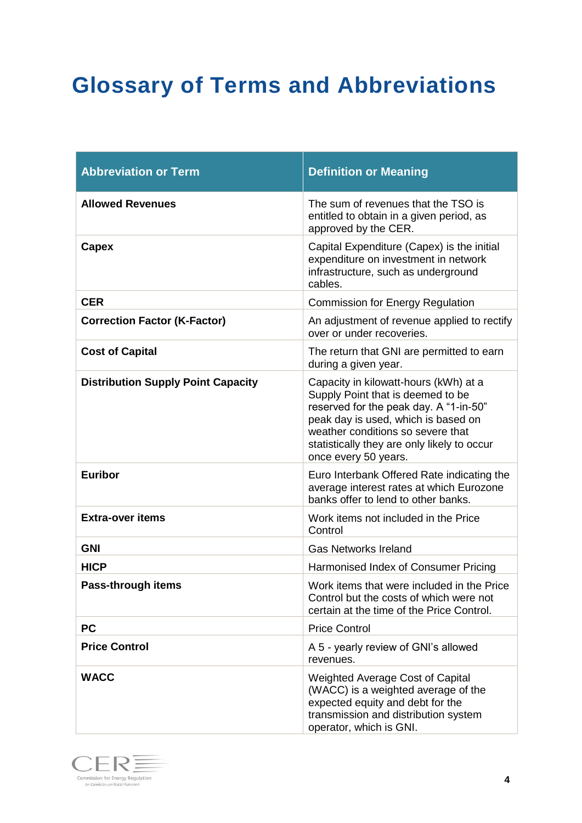# <span id="page-4-0"></span>**Glossary of Terms and Abbreviations**

| <b>Abbreviation or Term</b>               | <b>Definition or Meaning</b>                                                                                                                                                                                                                                            |
|-------------------------------------------|-------------------------------------------------------------------------------------------------------------------------------------------------------------------------------------------------------------------------------------------------------------------------|
| <b>Allowed Revenues</b>                   | The sum of revenues that the TSO is<br>entitled to obtain in a given period, as<br>approved by the CER.                                                                                                                                                                 |
| Capex                                     | Capital Expenditure (Capex) is the initial<br>expenditure on investment in network<br>infrastructure, such as underground<br>cables.                                                                                                                                    |
| <b>CER</b>                                | <b>Commission for Energy Regulation</b>                                                                                                                                                                                                                                 |
| <b>Correction Factor (K-Factor)</b>       | An adjustment of revenue applied to rectify<br>over or under recoveries.                                                                                                                                                                                                |
| <b>Cost of Capital</b>                    | The return that GNI are permitted to earn<br>during a given year.                                                                                                                                                                                                       |
| <b>Distribution Supply Point Capacity</b> | Capacity in kilowatt-hours (kWh) at a<br>Supply Point that is deemed to be<br>reserved for the peak day. A "1-in-50"<br>peak day is used, which is based on<br>weather conditions so severe that<br>statistically they are only likely to occur<br>once every 50 years. |
| <b>Euribor</b>                            | Euro Interbank Offered Rate indicating the<br>average interest rates at which Eurozone<br>banks offer to lend to other banks.                                                                                                                                           |
| <b>Extra-over items</b>                   | Work items not included in the Price<br>Control                                                                                                                                                                                                                         |
| <b>GNI</b>                                | <b>Gas Networks Ireland</b>                                                                                                                                                                                                                                             |
| <b>HICP</b>                               | Harmonised Index of Consumer Pricing                                                                                                                                                                                                                                    |
| Pass-through items                        | Work items that were included in the Price<br>Control but the costs of which were not<br>certain at the time of the Price Control.                                                                                                                                      |
| <b>PC</b>                                 | <b>Price Control</b>                                                                                                                                                                                                                                                    |
| <b>Price Control</b>                      | A 5 - yearly review of GNI's allowed<br>revenues.                                                                                                                                                                                                                       |
| <b>WACC</b>                               | Weighted Average Cost of Capital<br>(WACC) is a weighted average of the<br>expected equity and debt for the<br>transmission and distribution system<br>operator, which is GNI.                                                                                          |

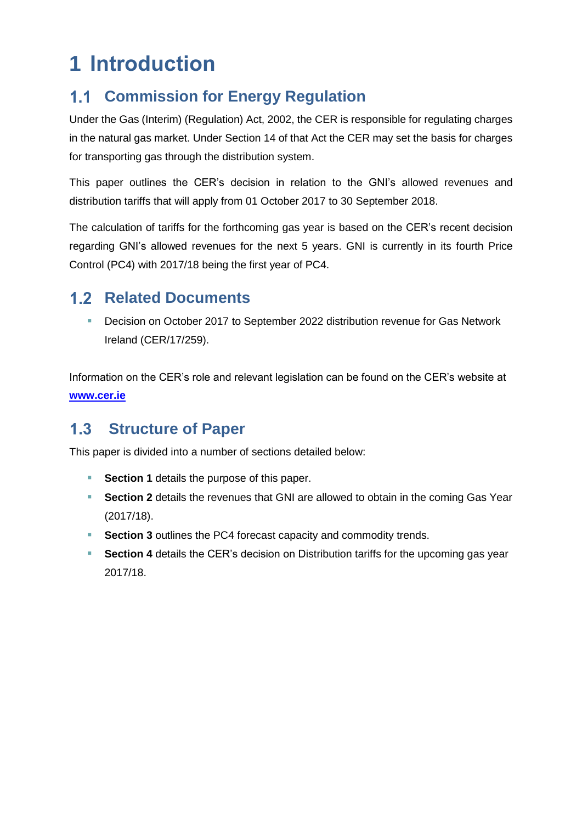# <span id="page-5-0"></span>**1 Introduction**

#### <span id="page-5-1"></span>**Commission for Energy Regulation**  $1.1$

Under the Gas (Interim) (Regulation) Act, 2002, the CER is responsible for regulating charges in the natural gas market. Under Section 14 of that Act the CER may set the basis for charges for transporting gas through the distribution system.

This paper outlines the CER's decision in relation to the GNI's allowed revenues and distribution tariffs that will apply from 01 October 2017 to 30 September 2018.

The calculation of tariffs for the forthcoming gas year is based on the CER's recent decision regarding GNI's allowed revenues for the next 5 years. GNI is currently in its fourth Price Control (PC4) with 2017/18 being the first year of PC4.

### <span id="page-5-2"></span>**1.2 Related Documents**

**Decision on October 2017 to September 2022 distribution revenue for Gas Network** Ireland (CER/17/259).

Information on the CER's role and relevant legislation can be found on the CER's website at **[www.cer.ie](http://www.cer.ie/)**

#### <span id="page-5-3"></span> $1.3$ **Structure of Paper**

This paper is divided into a number of sections detailed below:

- **Section [1](#page-5-0)** details the purpose of this paper.
- **Section [2](#page-6-0)** details the revenues that GNI are allowed to obtain in the coming Gas Year (2017/18).
- **Section [3](#page-7-0)** outlines the PC4 forecast capacity and commodity trends.
- **Section [4](#page-8-0)** details the CER's decision on Distribution tariffs for the upcoming gas year 2017/18.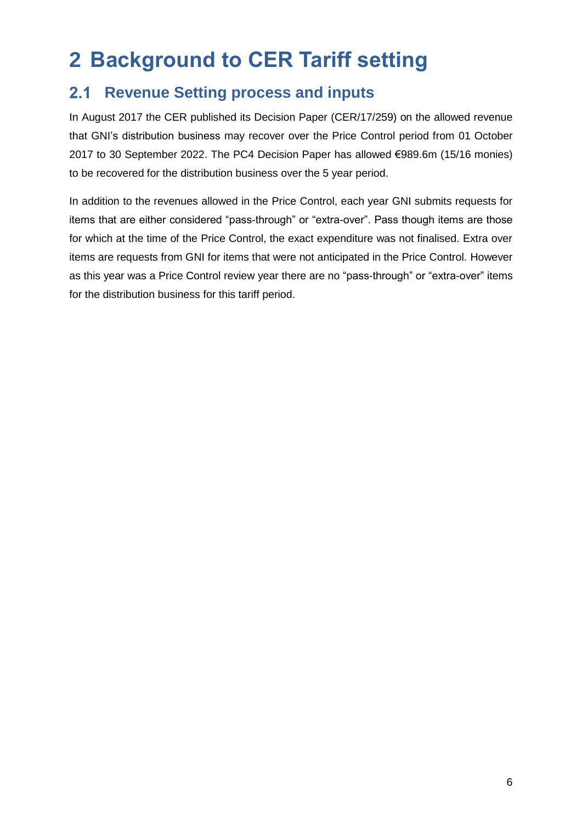# <span id="page-6-0"></span>**2 Background to CER Tariff setting**

#### <span id="page-6-1"></span>**Revenue Setting process and inputs**   $2.1$

In August 2017 the CER published its Decision Paper (CER/17/259) on the allowed revenue that GNI's distribution business may recover over the Price Control period from 01 October 2017 to 30 September 2022. The PC4 Decision Paper has allowed €989.6m (15/16 monies) to be recovered for the distribution business over the 5 year period.

In addition to the revenues allowed in the Price Control, each year GNI submits requests for items that are either considered "pass-through" or "extra-over". Pass though items are those for which at the time of the Price Control, the exact expenditure was not finalised. Extra over items are requests from GNI for items that were not anticipated in the Price Control. However as this year was a Price Control review year there are no "pass-through" or "extra-over" items for the distribution business for this tariff period.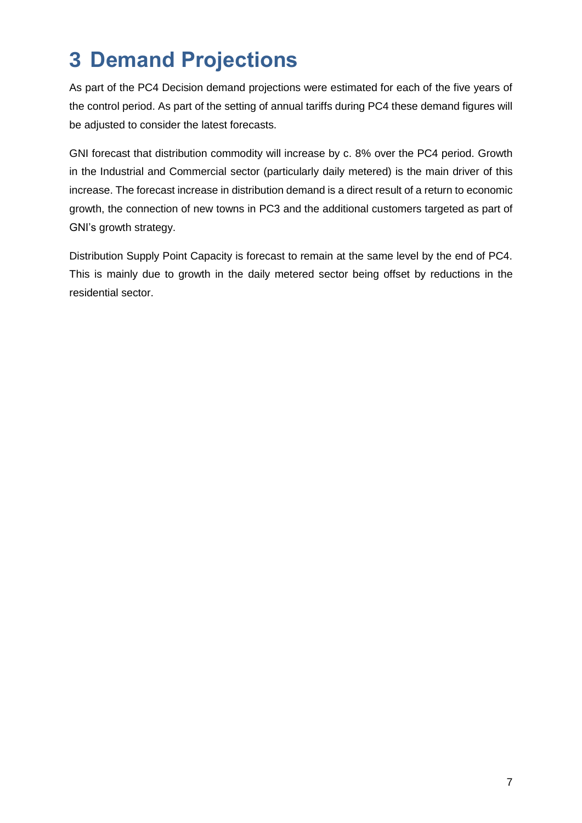# <span id="page-7-0"></span>**3 Demand Projections**

As part of the PC4 Decision demand projections were estimated for each of the five years of the control period. As part of the setting of annual tariffs during PC4 these demand figures will be adjusted to consider the latest forecasts.

GNI forecast that distribution commodity will increase by c. 8% over the PC4 period. Growth in the Industrial and Commercial sector (particularly daily metered) is the main driver of this increase. The forecast increase in distribution demand is a direct result of a return to economic growth, the connection of new towns in PC3 and the additional customers targeted as part of GNI's growth strategy.

Distribution Supply Point Capacity is forecast to remain at the same level by the end of PC4. This is mainly due to growth in the daily metered sector being offset by reductions in the residential sector.